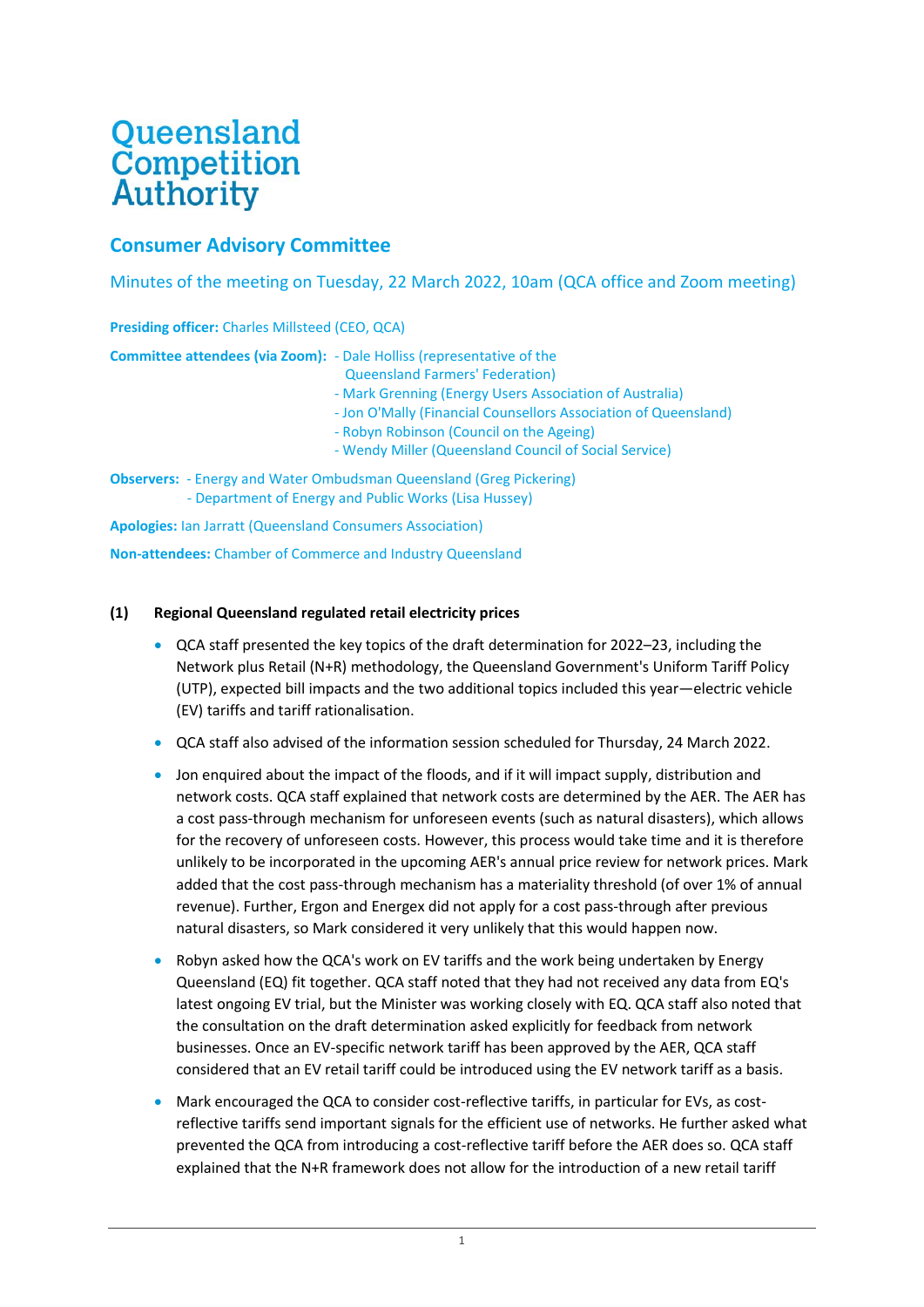# Queensland Competition **Authority**

# **Consumer Advisory Committee**

Minutes of the meeting on Tuesday, 22 March 2022, 10am (QCA office and Zoom meeting)

| <b>Presiding officer:</b> Charles Millsteed (CEO, QCA)            |                                                                                                                                                                                                                                                                                                                                                           |
|-------------------------------------------------------------------|-----------------------------------------------------------------------------------------------------------------------------------------------------------------------------------------------------------------------------------------------------------------------------------------------------------------------------------------------------------|
|                                                                   | <b>Committee attendees (via Zoom):</b> - Dale Holliss (representative of the<br><b>Queensland Farmers' Federation)</b><br>- Mark Grenning (Energy Users Association of Australia)<br>- Jon O'Mally (Financial Counsellors Association of Queensland)<br>- Robyn Robinson (Council on the Ageing)<br>- Wendy Miller (Queensland Council of Social Service) |
|                                                                   | <b>Observers:</b> - Energy and Water Ombudsman Queensland (Greg Pickering)<br>- Department of Energy and Public Works (Lisa Hussey)                                                                                                                                                                                                                       |
| <b>Apologies:</b> Ian Jarratt (Queensland Consumers Association)  |                                                                                                                                                                                                                                                                                                                                                           |
| <b>Non-attendees:</b> Chamber of Commerce and Industry Queensland |                                                                                                                                                                                                                                                                                                                                                           |

## **(1) Regional Queensland regulated retail electricity prices**

- QCA staff presented the key topics of the draft determination for 2022–23, including the Network plus Retail (N+R) methodology, the Queensland Government's Uniform Tariff Policy (UTP), expected bill impacts and the two additional topics included this year—electric vehicle (EV) tariffs and tariff rationalisation.
- QCA staff also advised of the information session scheduled for Thursday, 24 March 2022.
- Jon enquired about the impact of the floods, and if it will impact supply, distribution and network costs. QCA staff explained that network costs are determined by the AER. The AER has a cost pass-through mechanism for unforeseen events (such as natural disasters), which allows for the recovery of unforeseen costs. However, this process would take time and it is therefore unlikely to be incorporated in the upcoming AER's annual price review for network prices. Mark added that the cost pass-through mechanism has a materiality threshold (of over 1% of annual revenue). Further, Ergon and Energex did not apply for a cost pass-through after previous natural disasters, so Mark considered it very unlikely that this would happen now.
- Robyn asked how the QCA's work on EV tariffs and the work being undertaken by Energy Queensland (EQ) fit together. QCA staff noted that they had not received any data from EQ's latest ongoing EV trial, but the Minister was working closely with EQ. QCA staff also noted that the consultation on the draft determination asked explicitly for feedback from network businesses. Once an EV-specific network tariff has been approved by the AER, QCA staff considered that an EV retail tariff could be introduced using the EV network tariff as a basis.
- Mark encouraged the QCA to consider cost-reflective tariffs, in particular for EVs, as costreflective tariffs send important signals for the efficient use of networks. He further asked what prevented the QCA from introducing a cost-reflective tariff before the AER does so. QCA staff explained that the N+R framework does not allow for the introduction of a new retail tariff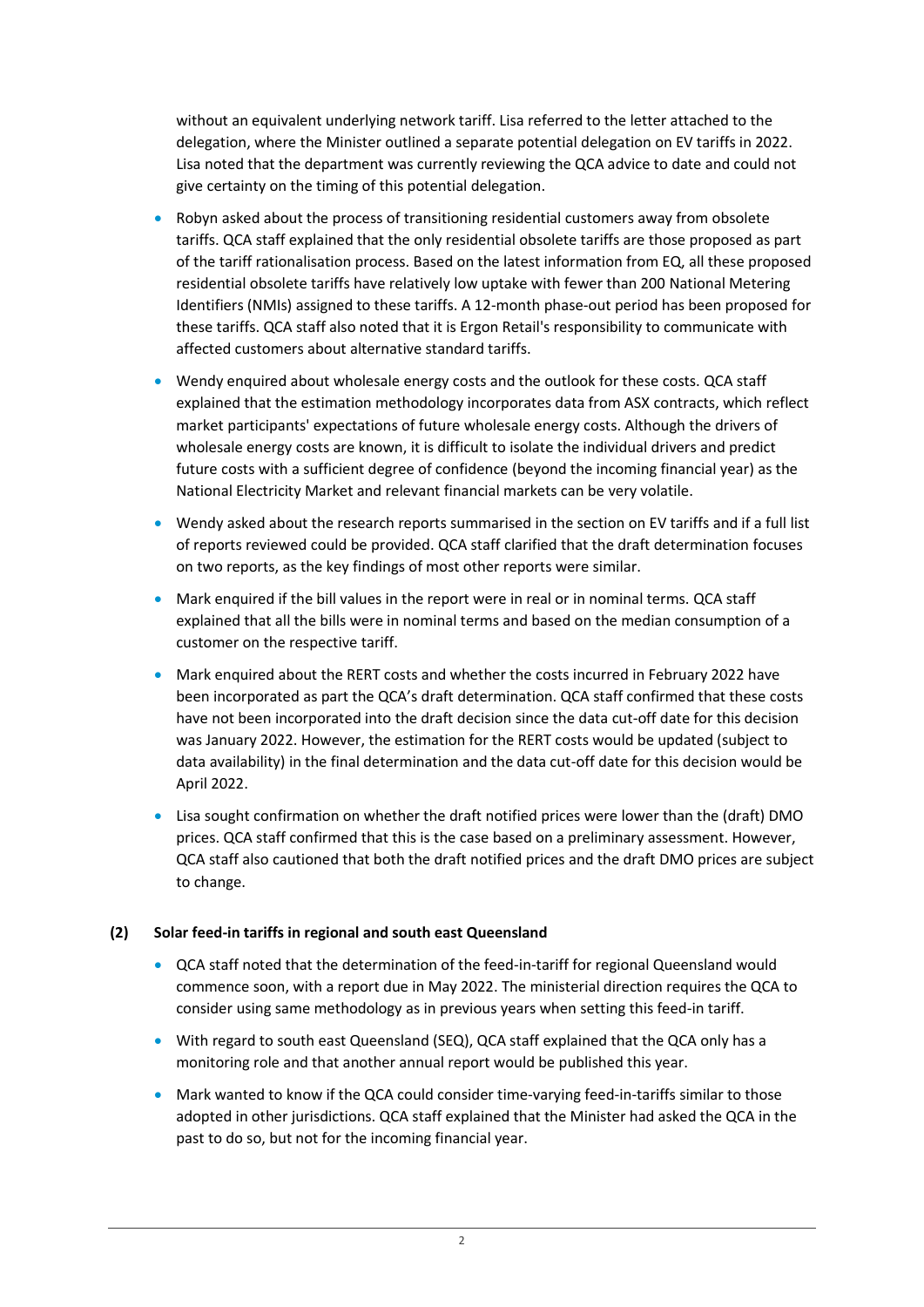without an equivalent underlying network tariff. Lisa referred to the letter attached to the delegation, where the Minister outlined a separate potential delegation on EV tariffs in 2022. Lisa noted that the department was currently reviewing the QCA advice to date and could not give certainty on the timing of this potential delegation.

- Robyn asked about the process of transitioning residential customers away from obsolete tariffs. QCA staff explained that the only residential obsolete tariffs are those proposed as part of the tariff rationalisation process. Based on the latest information from EQ, all these proposed residential obsolete tariffs have relatively low uptake with fewer than 200 National Metering Identifiers (NMIs) assigned to these tariffs. A 12-month phase-out period has been proposed for these tariffs. QCA staff also noted that it is Ergon Retail's responsibility to communicate with affected customers about alternative standard tariffs.
- Wendy enquired about wholesale energy costs and the outlook for these costs. QCA staff explained that the estimation methodology incorporates data from ASX contracts, which reflect market participants' expectations of future wholesale energy costs. Although the drivers of wholesale energy costs are known, it is difficult to isolate the individual drivers and predict future costs with a sufficient degree of confidence (beyond the incoming financial year) as the National Electricity Market and relevant financial markets can be very volatile.
- Wendy asked about the research reports summarised in the section on EV tariffs and if a full list of reports reviewed could be provided. QCA staff clarified that the draft determination focuses on two reports, as the key findings of most other reports were similar.
- Mark enquired if the bill values in the report were in real or in nominal terms. QCA staff explained that all the bills were in nominal terms and based on the median consumption of a customer on the respective tariff.
- Mark enquired about the RERT costs and whether the costs incurred in February 2022 have been incorporated as part the QCA's draft determination. QCA staff confirmed that these costs have not been incorporated into the draft decision since the data cut-off date for this decision was January 2022. However, the estimation for the RERT costs would be updated (subject to data availability) in the final determination and the data cut-off date for this decision would be April 2022.
- Lisa sought confirmation on whether the draft notified prices were lower than the (draft) DMO prices. QCA staff confirmed that this is the case based on a preliminary assessment. However, QCA staff also cautioned that both the draft notified prices and the draft DMO prices are subject to change.

# **(2) Solar feed-in tariffs in regional and south east Queensland**

- QCA staff noted that the determination of the feed-in-tariff for regional Queensland would commence soon, with a report due in May 2022. The ministerial direction requires the QCA to consider using same methodology as in previous years when setting this feed-in tariff.
- With regard to south east Queensland (SEQ), QCA staff explained that the QCA only has a monitoring role and that another annual report would be published this year.
- Mark wanted to know if the QCA could consider time-varying feed-in-tariffs similar to those adopted in other jurisdictions. QCA staff explained that the Minister had asked the QCA in the past to do so, but not for the incoming financial year.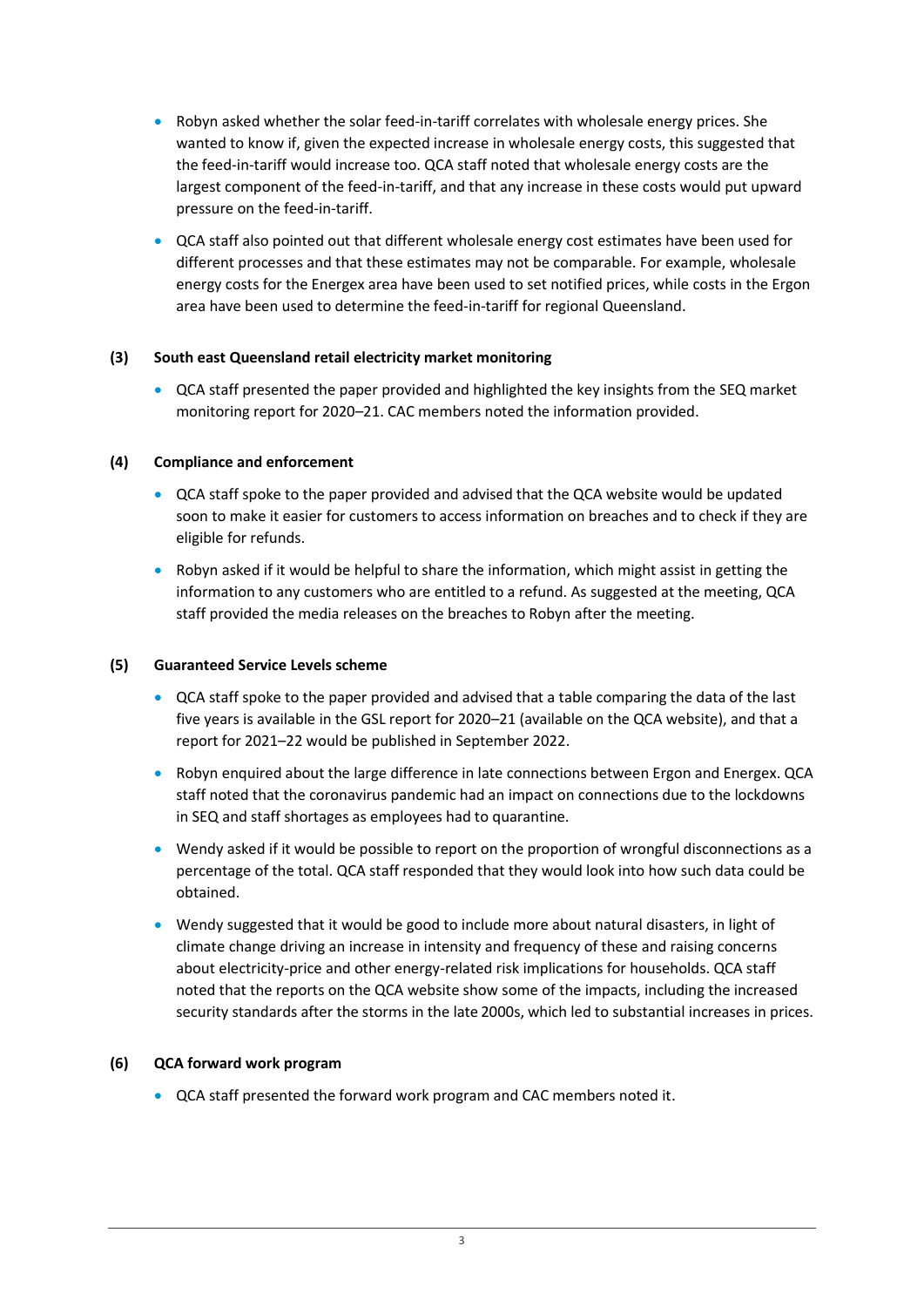- Robyn asked whether the solar feed-in-tariff correlates with wholesale energy prices. She wanted to know if, given the expected increase in wholesale energy costs, this suggested that the feed-in-tariff would increase too. QCA staff noted that wholesale energy costs are the largest component of the feed-in-tariff, and that any increase in these costs would put upward pressure on the feed-in-tariff.
- QCA staff also pointed out that different wholesale energy cost estimates have been used for different processes and that these estimates may not be comparable. For example, wholesale energy costs for the Energex area have been used to set notified prices, while costs in the Ergon area have been used to determine the feed-in-tariff for regional Queensland.

# **(3) South east Queensland retail electricity market monitoring**

• QCA staff presented the paper provided and highlighted the key insights from the SEQ market monitoring report for 2020–21. CAC members noted the information provided.

#### **(4) Compliance and enforcement**

- QCA staff spoke to the paper provided and advised that the QCA website would be updated soon to make it easier for customers to access information on breaches and to check if they are eligible for refunds.
- Robyn asked if it would be helpful to share the information, which might assist in getting the information to any customers who are entitled to a refund. As suggested at the meeting, QCA staff provided the media releases on the breaches to Robyn after the meeting.

#### **(5) Guaranteed Service Levels scheme**

- QCA staff spoke to the paper provided and advised that a table comparing the data of the last five years is available in the GSL report for 2020–21 (available on the QCA website), and that a report for 2021–22 would be published in September 2022.
- Robyn enquired about the large difference in late connections between Ergon and Energex. QCA staff noted that the coronavirus pandemic had an impact on connections due to the lockdowns in SEQ and staff shortages as employees had to quarantine.
- Wendy asked if it would be possible to report on the proportion of wrongful disconnections as a percentage of the total. QCA staff responded that they would look into how such data could be obtained.
- Wendy suggested that it would be good to include more about natural disasters, in light of climate change driving an increase in intensity and frequency of these and raising concerns about electricity-price and other energy-related risk implications for households. QCA staff noted that the reports on the QCA website show some of the impacts, including the increased security standards after the storms in the late 2000s, which led to substantial increases in prices.

#### **(6) QCA forward work program**

• QCA staff presented the forward work program and CAC members noted it.